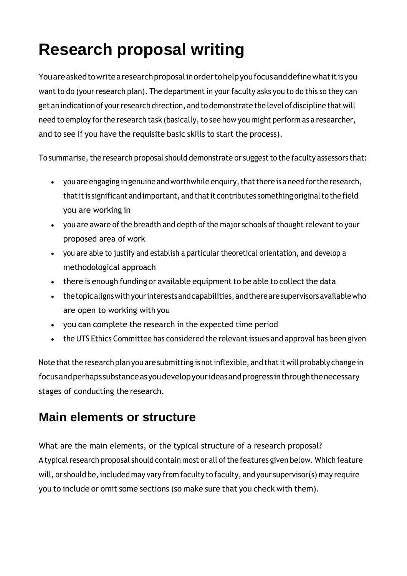# **Research proposal writing**

Youareaskedtowritearesearchproposalinordertohelpyoufocusanddefinewhatitisyou want to do (your research plan). The department in your faculty asks you to do this so they can get an indication of your research direction, and to demonstrate the level of discipline that will need to employ for the research task (basically, to see how you might perform as a researcher, and to see if you have the requisite basic skills to start the process).

To summarise, the research proposal should demonstrate or suggest to the faculty assessors that:

- you are engaging in genuine and worthwhile enquiry, that there is a need for the research, that it is significant and important, and that it contributes something original to the field you are working in
- you are aware of the breadth and depth of the major schools of thought relevant to your proposed area of work
- you are able to justify and establish a particular theoretical orientation, and develop a methodological approach
- there is enough funding or available equipment to be able to collect the data
- the topic aligns with your interests and capabilities, and there are supervisors available who are open to working with you
- you can complete the research in the expected time period
- the UTS Ethics Committee has considered the relevant issues and approval has been given

Note that the research plan you are submitting is not inflexible, and that it will probably change in focusandperhapssubstanceasyoudevelopyourideasandprogressinthroughthenecessary stages of conducting the research.

# **Main elements or structure**

What are the main elements, or the typical structure of a research proposal? A typical research proposal should contain most or all of the features given below. Which feature will, or should be, included may vary from faculty to faculty, and your supervisor(s) may require you to include or omit some sections (so make sure that you check with them).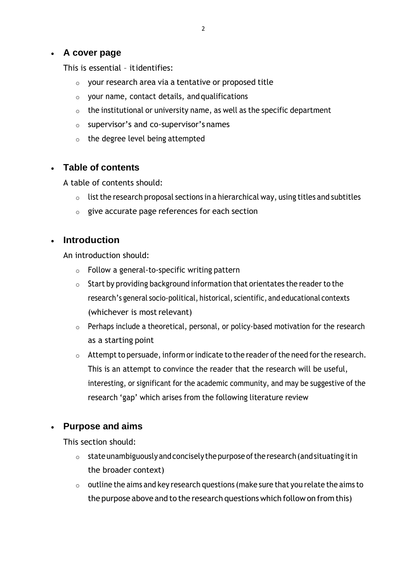#### • **A cover page**

This is essential – itidentifies:

- o your research area via a tentative or proposed title
- $\circ$  your name, contact details, and qualifications
- $\circ$  the institutional or university name, as well as the specific department
- o supervisor's and co-supervisor's names
- o the degree level being attempted

#### • **Table of contents**

A table of contents should:

- $\circ$  list the research proposal sections in a hierarchical way, using titles and subtitles
- $\circ$  give accurate page references for each section

#### • **Introduction**

An introduction should:

- $\circ$  Follow a general-to-specific writing pattern
- $\circ$  Start by providing background information that orientates the reader to the research's general socio-political, historical, scientific, and educational contexts (whichever is most relevant)
- $\circ$  Perhaps include a theoretical, personal, or policy-based motivation for the research as a starting point
- $\circ$  Attempt to persuade, inform or indicate to the reader of the need for the research. This is an attempt to convince the reader that the research will be useful, interesting, or significant for the academic community, and may be suggestive of the research 'gap' which arises from the following literature review

# • **Purpose and aims**

This section should:

- $\circ$  state unambiguously and concisely the purpose of the research (and situating it in the broader context)
- $\circ$  outline the aims and key research questions (make sure that you relate the aims to the purpose above and to the research questions which follow on from this)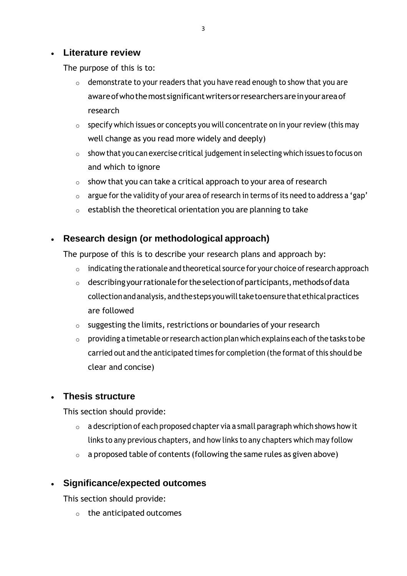#### • **Literature review**

The purpose of this is to:

- $\circ$  demonstrate to your readers that you have read enough to show that you are awareofwhothemostsignificantwritersorresearchersareinyourareaof research
- $\circ$  specify which issues or concepts you will concentrate on in your review (this may well change as you read more widely and deeply)
- $\circ$  show that you can exercise critical judgement in selecting which issues to focus on and which to ignore
- $\circ$  show that you can take a critical approach to your area of research
- $\circ$  argue for the validity of your area of research in terms of its need to address a 'gap'
- $\circ$  establish the theoretical orientation you are planning to take

# • **Research design (or methodological approach)**

The purpose of this is to describe your research plans and approach by:

- $\circ$  indicating the rationale and theoretical source for your choice of research approach
- $\circ$  describing your rationale for the selection of participants, methods of data collectionandanalysis, andthestepsyouwilltaketoensurethatethicalpractices are followed
- o suggesting the limits, restrictions or boundaries of your research
- $\circ$  providing a timetable or research action plan which explains each of the tasks to be carried out and the anticipated times for completion (the format of this should be clear and concise)

# • **Thesis structure**

This section should provide:

- $\circ$  a description of each proposed chapter via a small paragraph which shows how it links to any previous chapters, and how links to any chapters which may follow
- $\circ$  a proposed table of contents (following the same rules as given above)

# • **Significance/expected outcomes**

This section should provide:

o the anticipated outcomes